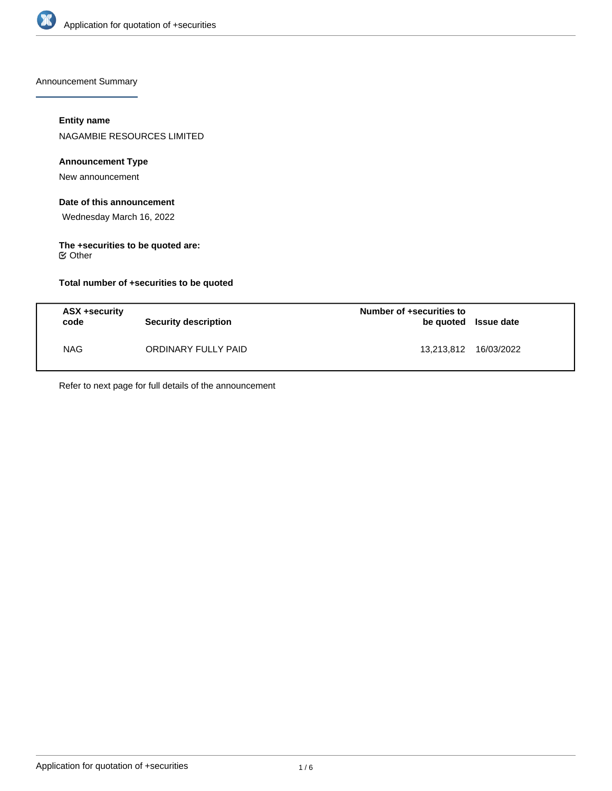

Announcement Summary

# **Entity name**

NAGAMBIE RESOURCES LIMITED

## **Announcement Type**

New announcement

# **Date of this announcement**

Wednesday March 16, 2022

#### **The +securities to be quoted are:** Other

**Total number of +securities to be quoted**

| ASX +security<br>code | <b>Security description</b> | Number of +securities to<br>be quoted Issue date |            |
|-----------------------|-----------------------------|--------------------------------------------------|------------|
| <b>NAG</b>            | ORDINARY FULLY PAID         | 13,213,812                                       | 16/03/2022 |

Refer to next page for full details of the announcement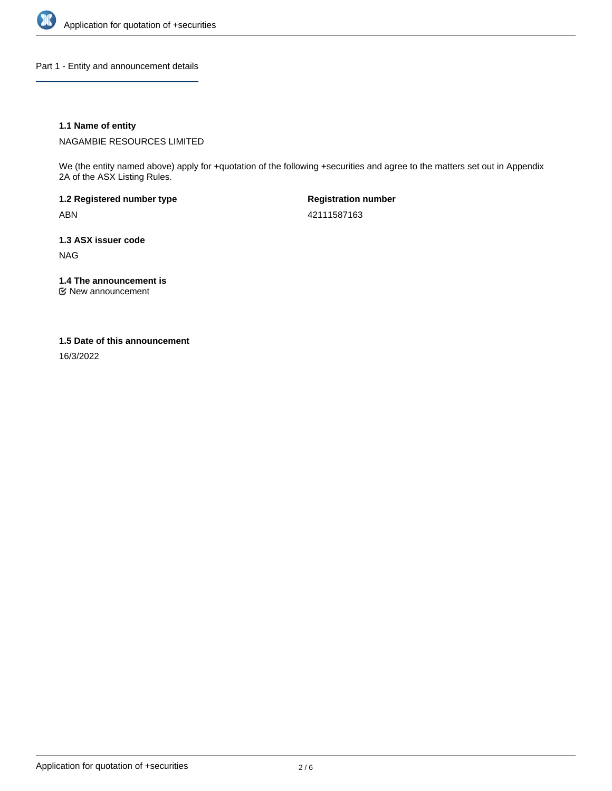

Part 1 - Entity and announcement details

## **1.1 Name of entity**

NAGAMBIE RESOURCES LIMITED

We (the entity named above) apply for +quotation of the following +securities and agree to the matters set out in Appendix 2A of the ASX Listing Rules.

**1.2 Registered number type** ABN

**Registration number** 42111587163

**1.3 ASX issuer code**

NAG

**1.4 The announcement is**

New announcement

#### **1.5 Date of this announcement**

16/3/2022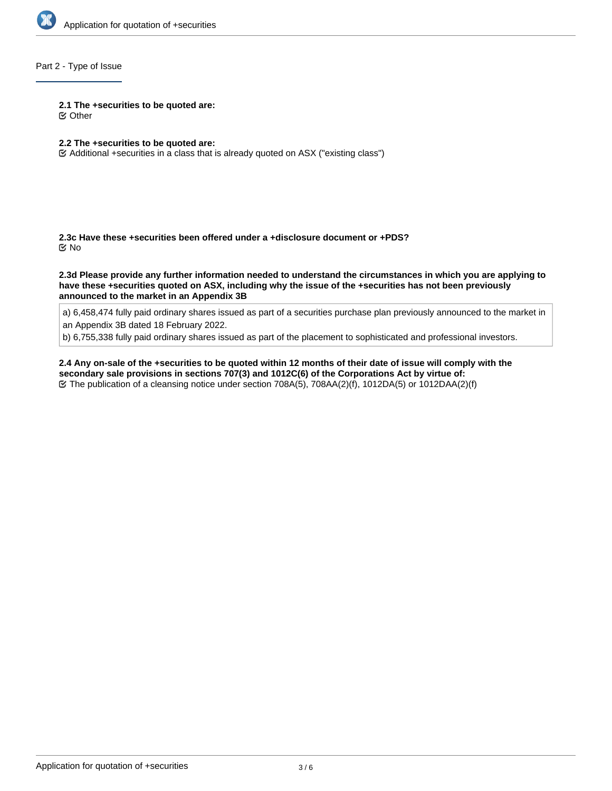

## Part 2 - Type of Issue

#### **2.1 The +securities to be quoted are:**

Other

## **2.2 The +securities to be quoted are:**

Additional +securities in a class that is already quoted on ASX ("existing class")

**2.3c Have these +securities been offered under a +disclosure document or +PDS?** No

**2.3d Please provide any further information needed to understand the circumstances in which you are applying to have these +securities quoted on ASX, including why the issue of the +securities has not been previously announced to the market in an Appendix 3B**

a) 6,458,474 fully paid ordinary shares issued as part of a securities purchase plan previously announced to the market in an Appendix 3B dated 18 February 2022.

b) 6,755,338 fully paid ordinary shares issued as part of the placement to sophisticated and professional investors.

**2.4 Any on-sale of the +securities to be quoted within 12 months of their date of issue will comply with the secondary sale provisions in sections 707(3) and 1012C(6) of the Corporations Act by virtue of:** The publication of a cleansing notice under section 708A(5), 708AA(2)(f), 1012DA(5) or 1012DAA(2)(f)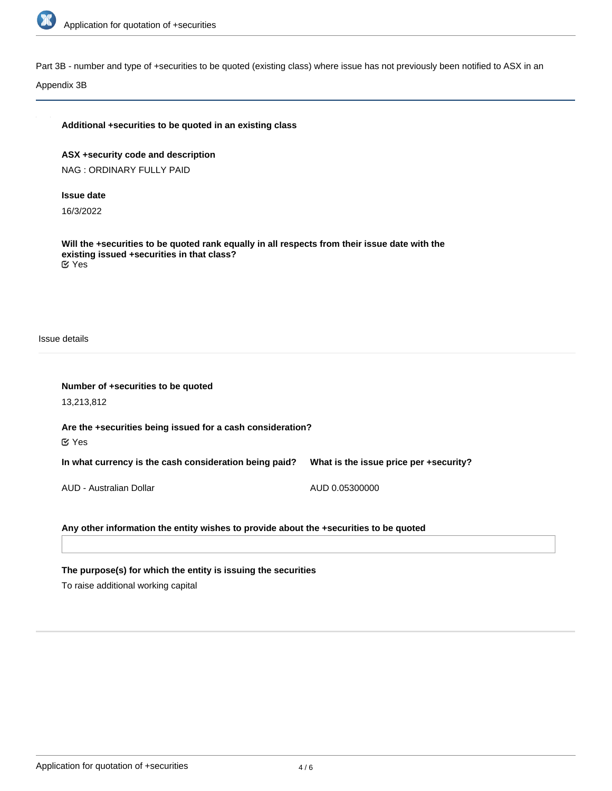

Part 3B - number and type of +securities to be quoted (existing class) where issue has not previously been notified to ASX in an

Appendix 3B

**ASX +security code and description** NAG : ORDINARY FULLY PAID

#### **Issue date**

16/3/2022

**Will the +securities to be quoted rank equally in all respects from their issue date with the existing issued +securities in that class?** Yes

Issue details

| Number of +securities to be quoted                                                    |                                        |  |  |  |
|---------------------------------------------------------------------------------------|----------------------------------------|--|--|--|
| 13,213,812                                                                            |                                        |  |  |  |
| Are the +securities being issued for a cash consideration?<br>$\mathfrak C$ Yes       |                                        |  |  |  |
| In what currency is the cash consideration being paid?                                | What is the issue price per +security? |  |  |  |
| AUD - Australian Dollar                                                               | AUD 0.05300000                         |  |  |  |
| Any other information the entity wishes to provide about the +securities to be quoted |                                        |  |  |  |

**The purpose(s) for which the entity is issuing the securities**

To raise additional working capital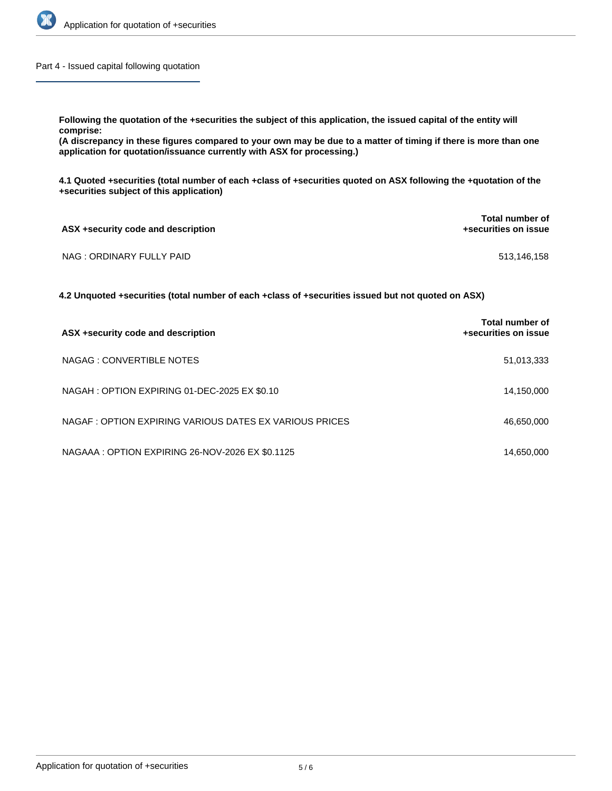

Part 4 - Issued capital following quotation

**Following the quotation of the +securities the subject of this application, the issued capital of the entity will comprise:**

**(A discrepancy in these figures compared to your own may be due to a matter of timing if there is more than one application for quotation/issuance currently with ASX for processing.)**

**4.1 Quoted +securities (total number of each +class of +securities quoted on ASX following the +quotation of the +securities subject of this application)**

| ASX +security code and description | <b>Total number of</b><br>+securities on issue |
|------------------------------------|------------------------------------------------|
| NAG : ORDINARY FULLY PAID          | 513,146,158                                    |

**4.2 Unquoted +securities (total number of each +class of +securities issued but not quoted on ASX)**

| ASX +security code and description                      | Total number of<br>+securities on issue |
|---------------------------------------------------------|-----------------------------------------|
| NAGAG: CONVERTIBLE NOTES                                | 51,013,333                              |
| NAGAH: OPTION EXPIRING 01-DEC-2025 EX \$0.10            | 14,150,000                              |
| NAGAF : OPTION EXPIRING VARIOUS DATES EX VARIOUS PRICES | 46,650,000                              |
| NAGAAA: OPTION EXPIRING 26-NOV-2026 EX \$0.1125         | 14,650,000                              |